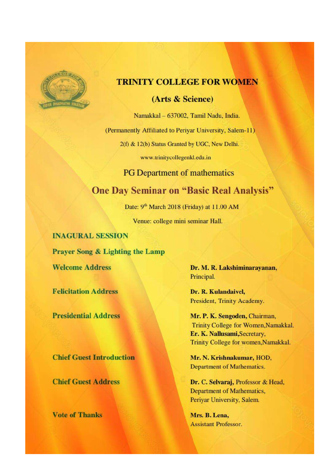

## **TRINITY COLLEGE FOR WOMEN**

### (Arts & Science)

Namakkal - 637002, Tamil Nadu, India.

(Permanently Affiliated to Periyar University, Salem-11)

2(f) & 12(b) Status Granted by UGC, New Delhi.

www.trinitycollegenkl.edu.in

### **PG Department of mathematics**

## **One Day Seminar on "Basic Real Analysis"**

Date: 9<sup>th</sup> March 2018 (Friday) at 11.00 AM

Venue: college mini seminar Hall.

**INAGURAL SESSION Prayer Song & Lighting the Lamp** 

**Welcome Address** 

**Felicitation Address** 

**Presidential Address** 

**Chief Guest Introduction** 

**Chief Guest Address** 

**Vote of Thanks** 

Dr. M. R. Lakshiminarayanan, Principal.

Dr. R. Kulandaivel, President, Trinity Academy.

Mr. P. K. Sengoden, Chairman, Trinity College for Women, Namakkal. Er. K. Nallusami, Secretary, Trinity College for women, Namakkal.

Mr. N. Krishnakumar, HOD, Department of Mathematics.

Dr. C. Selvaraj, Professor & Head, **Department of Mathematics,** Periyar University, Salem.

Mrs. B. Lena, **Assistant Professor.**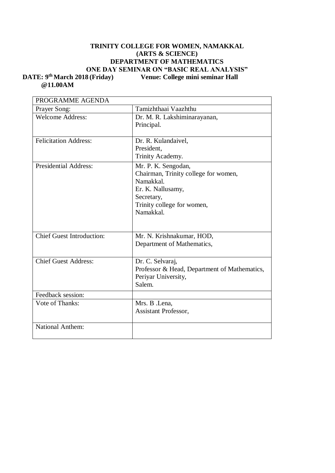### **TRINITY COLLEGE FOR WOMEN, NAMAKKAL (ARTS & SCIENCE) DEPARTMENT OF MATHEMATICS ONE DAY SEMINAR ON "BASIC REAL ANALYSIS" DATE: 9th March 2018 (Friday) Venue: College mini seminar Hall**

# **@11.00AM**

| PROGRAMME AGENDA                 |                                                                                                                                                        |
|----------------------------------|--------------------------------------------------------------------------------------------------------------------------------------------------------|
| Prayer Song:                     | Tamizhthaai Vaazhthu                                                                                                                                   |
| <b>Welcome Address:</b>          | Dr. M. R. Lakshiminarayanan,<br>Principal.                                                                                                             |
| <b>Felicitation Address:</b>     | Dr. R. Kulandaivel,<br>President.<br>Trinity Academy.                                                                                                  |
| <b>Presidential Address:</b>     | Mr. P. K. Sengodan,<br>Chairman, Trinity college for women,<br>Namakkal.<br>Er. K. Nallusamy,<br>Secretary,<br>Trinity college for women,<br>Namakkal. |
| <b>Chief Guest Introduction:</b> | Mr. N. Krishnakumar, HOD,<br>Department of Mathematics,                                                                                                |
| <b>Chief Guest Address:</b>      | Dr. C. Selvaraj,<br>Professor & Head, Department of Mathematics,<br>Periyar University,<br>Salem.                                                      |
| Feedback session:                |                                                                                                                                                        |
| Vote of Thanks:                  | Mrs. B.Lena,<br>Assistant Professor,                                                                                                                   |
| <b>National Anthem:</b>          |                                                                                                                                                        |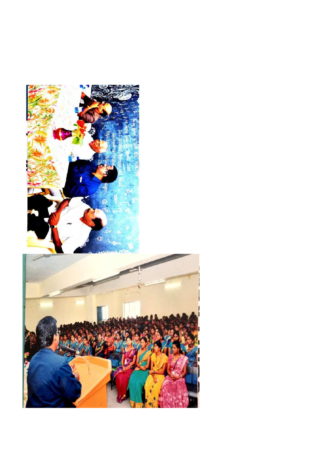